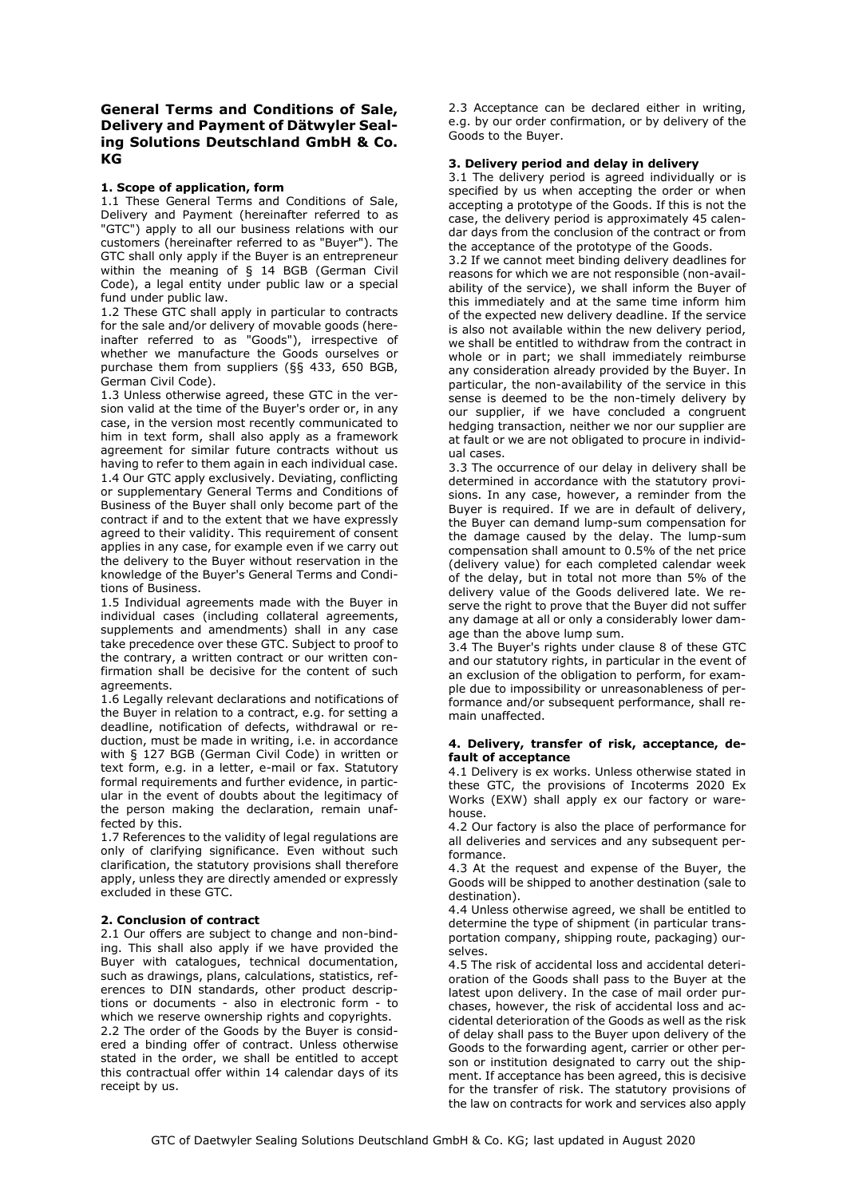# **General Terms and Conditions of Sale, Delivery and Payment of Dätwyler Sealing Solutions Deutschland GmbH & Co. KG**

## **1. Scope of application, form**

1.1 These General Terms and Conditions of Sale, Delivery and Payment (hereinafter referred to as "GTC") apply to all our business relations with our customers (hereinafter referred to as "Buyer"). The GTC shall only apply if the Buyer is an entrepreneur within the meaning of § 14 BGB (German Civil Code), a legal entity under public law or a special fund under public law.

1.2 These GTC shall apply in particular to contracts for the sale and/or delivery of movable goods (hereinafter referred to as "Goods"), irrespective of whether we manufacture the Goods ourselves or purchase them from suppliers (§§ 433, 650 BGB, German Civil Code).

1.3 Unless otherwise agreed, these GTC in the version valid at the time of the Buyer's order or, in any case, in the version most recently communicated to him in text form, shall also apply as a framework agreement for similar future contracts without us having to refer to them again in each individual case. 1.4 Our GTC apply exclusively. Deviating, conflicting or supplementary General Terms and Conditions of Business of the Buyer shall only become part of the contract if and to the extent that we have expressly agreed to their validity. This requirement of consent applies in any case, for example even if we carry out the delivery to the Buyer without reservation in the knowledge of the Buyer's General Terms and Conditions of Business.

1.5 Individual agreements made with the Buyer in individual cases (including collateral agreements, supplements and amendments) shall in any case take precedence over these GTC. Subject to proof to the contrary, a written contract or our written confirmation shall be decisive for the content of such agreements.

1.6 Legally relevant declarations and notifications of the Buyer in relation to a contract, e.g. for setting a deadline, notification of defects, withdrawal or reduction, must be made in writing, i.e. in accordance with § 127 BGB (German Civil Code) in written or text form, e.g. in a letter, e-mail or fax. Statutory formal requirements and further evidence, in particular in the event of doubts about the legitimacy of the person making the declaration, remain unaffected by this.

1.7 References to the validity of legal regulations are only of clarifying significance. Even without such clarification, the statutory provisions shall therefore apply, unless they are directly amended or expressly excluded in these GTC.

#### **2. Conclusion of contract**

2.1 Our offers are subject to change and non-binding. This shall also apply if we have provided the Buyer with catalogues, technical documentation, such as drawings, plans, calculations, statistics, references to DIN standards, other product descriptions or documents - also in electronic form - to which we reserve ownership rights and copyrights. 2.2 The order of the Goods by the Buyer is considered a binding offer of contract. Unless otherwise stated in the order, we shall be entitled to accept this contractual offer within 14 calendar days of its receipt by us.

2.3 Acceptance can be declared either in writing, e.g. by our order confirmation, or by delivery of the Goods to the Buyer.

#### **3. Delivery period and delay in delivery**

3.1 The delivery period is agreed individually or is specified by us when accepting the order or when accepting a prototype of the Goods. If this is not the case, the delivery period is approximately 45 calendar days from the conclusion of the contract or from the acceptance of the prototype of the Goods.

3.2 If we cannot meet binding delivery deadlines for reasons for which we are not responsible (non-availability of the service), we shall inform the Buyer of this immediately and at the same time inform him of the expected new delivery deadline. If the service is also not available within the new delivery period, we shall be entitled to withdraw from the contract in whole or in part; we shall immediately reimburse any consideration already provided by the Buyer. In particular, the non-availability of the service in this sense is deemed to be the non-timely delivery by our supplier, if we have concluded a congruent hedging transaction, neither we nor our supplier are at fault or we are not obligated to procure in individual cases.

3.3 The occurrence of our delay in delivery shall be determined in accordance with the statutory provisions. In any case, however, a reminder from the Buyer is required. If we are in default of delivery, the Buyer can demand lump-sum compensation for the damage caused by the delay. The lump-sum compensation shall amount to 0.5% of the net price (delivery value) for each completed calendar week of the delay, but in total not more than 5% of the delivery value of the Goods delivered late. We reserve the right to prove that the Buyer did not suffer any damage at all or only a considerably lower damage than the above lump sum.

3.4 The Buyer's rights under clause 8 of these GTC and our statutory rights, in particular in the event of an exclusion of the obligation to perform, for example due to impossibility or unreasonableness of performance and/or subsequent performance, shall remain unaffected.

#### **4. Delivery, transfer of risk, acceptance, default of acceptance**

4.1 Delivery is ex works. Unless otherwise stated in these GTC, the provisions of Incoterms 2020 Ex Works (EXW) shall apply ex our factory or warehouse.

4.2 Our factory is also the place of performance for all deliveries and services and any subsequent performance.

4.3 At the request and expense of the Buyer, the Goods will be shipped to another destination (sale to destination).

4.4 Unless otherwise agreed, we shall be entitled to determine the type of shipment (in particular transportation company, shipping route, packaging) ourselves.

4.5 The risk of accidental loss and accidental deterioration of the Goods shall pass to the Buyer at the latest upon delivery. In the case of mail order purchases, however, the risk of accidental loss and accidental deterioration of the Goods as well as the risk of delay shall pass to the Buyer upon delivery of the Goods to the forwarding agent, carrier or other person or institution designated to carry out the shipment. If acceptance has been agreed, this is decisive for the transfer of risk. The statutory provisions of the law on contracts for work and services also apply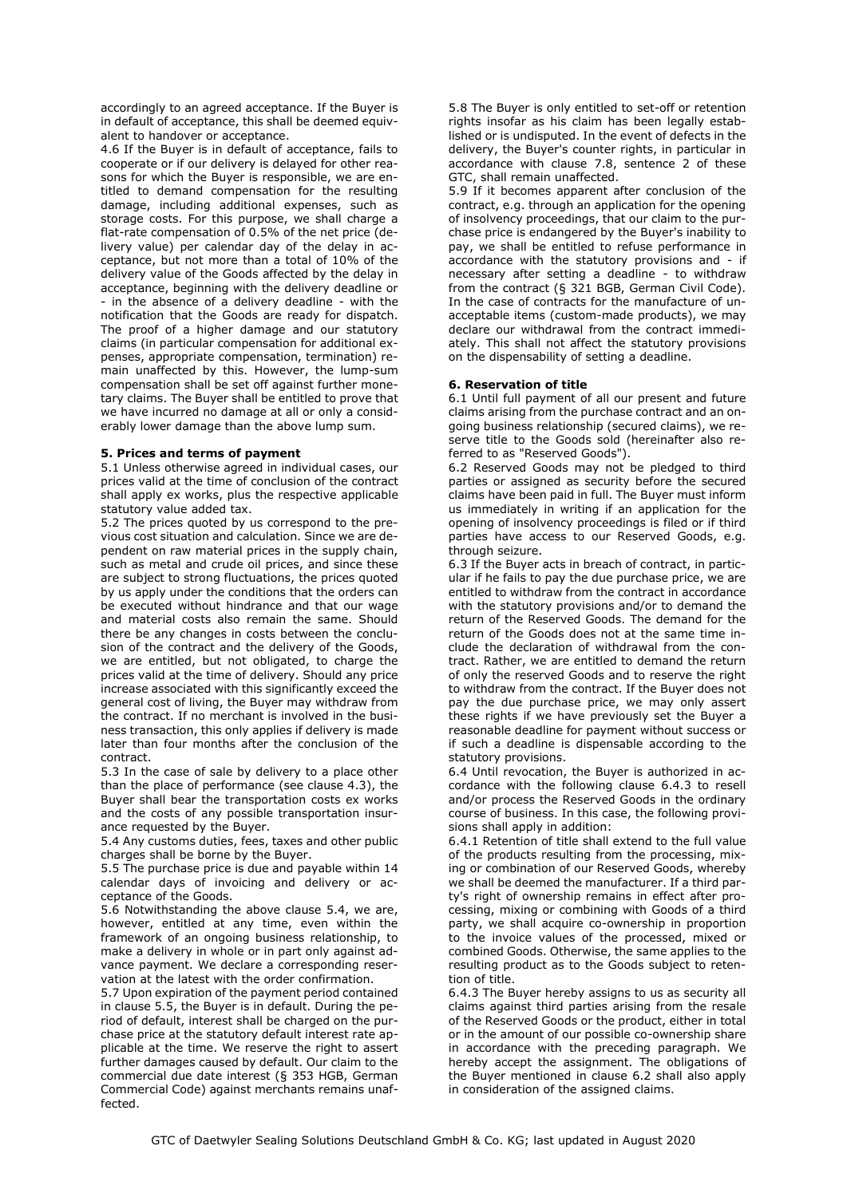accordingly to an agreed acceptance. If the Buyer is in default of acceptance, this shall be deemed equivalent to handover or acceptance.

4.6 If the Buyer is in default of acceptance, fails to cooperate or if our delivery is delayed for other reasons for which the Buyer is responsible, we are entitled to demand compensation for the resulting damage, including additional expenses, such as storage costs. For this purpose, we shall charge a flat-rate compensation of 0.5% of the net price (delivery value) per calendar day of the delay in acceptance, but not more than a total of 10% of the delivery value of the Goods affected by the delay in acceptance, beginning with the delivery deadline or - in the absence of a delivery deadline - with the notification that the Goods are ready for dispatch. The proof of a higher damage and our statutory claims (in particular compensation for additional expenses, appropriate compensation, termination) remain unaffected by this. However, the lump-sum compensation shall be set off against further monetary claims. The Buyer shall be entitled to prove that we have incurred no damage at all or only a considerably lower damage than the above lump sum.

## **5. Prices and terms of payment**

5.1 Unless otherwise agreed in individual cases, our prices valid at the time of conclusion of the contract shall apply ex works, plus the respective applicable statutory value added tax.

5.2 The prices quoted by us correspond to the previous cost situation and calculation. Since we are dependent on raw material prices in the supply chain, such as metal and crude oil prices, and since these are subject to strong fluctuations, the prices quoted by us apply under the conditions that the orders can be executed without hindrance and that our wage and material costs also remain the same. Should there be any changes in costs between the conclusion of the contract and the delivery of the Goods, we are entitled, but not obligated, to charge the prices valid at the time of delivery. Should any price increase associated with this significantly exceed the general cost of living, the Buyer may withdraw from the contract. If no merchant is involved in the business transaction, this only applies if delivery is made later than four months after the conclusion of the contract.

5.3 In the case of sale by delivery to a place other than the place of performance (see clause 4.3), the Buyer shall bear the transportation costs ex works and the costs of any possible transportation insurance requested by the Buyer.

5.4 Any customs duties, fees, taxes and other public charges shall be borne by the Buyer.

5.5 The purchase price is due and payable within 14 calendar days of invoicing and delivery or acceptance of the Goods.

5.6 Notwithstanding the above clause 5.4, we are, however, entitled at any time, even within the framework of an ongoing business relationship, to make a delivery in whole or in part only against advance payment. We declare a corresponding reservation at the latest with the order confirmation.

5.7 Upon expiration of the payment period contained in clause 5.5, the Buyer is in default. During the period of default, interest shall be charged on the purchase price at the statutory default interest rate applicable at the time. We reserve the right to assert further damages caused by default. Our claim to the commercial due date interest (§ 353 HGB, German Commercial Code) against merchants remains unaffected.

5.8 The Buyer is only entitled to set-off or retention rights insofar as his claim has been legally established or is undisputed. In the event of defects in the delivery, the Buyer's counter rights, in particular in accordance with clause 7.8, sentence 2 of these GTC, shall remain unaffected.

5.9 If it becomes apparent after conclusion of the contract, e.g. through an application for the opening of insolvency proceedings, that our claim to the purchase price is endangered by the Buyer's inability to pay, we shall be entitled to refuse performance in accordance with the statutory provisions and - if necessary after setting a deadline - to withdraw from the contract (§ 321 BGB, German Civil Code). In the case of contracts for the manufacture of unacceptable items (custom-made products), we may declare our withdrawal from the contract immediately. This shall not affect the statutory provisions on the dispensability of setting a deadline.

## **6. Reservation of title**

6.1 Until full payment of all our present and future claims arising from the purchase contract and an ongoing business relationship (secured claims), we reserve title to the Goods sold (hereinafter also referred to as "Reserved Goods").

6.2 Reserved Goods may not be pledged to third parties or assigned as security before the secured claims have been paid in full. The Buyer must inform us immediately in writing if an application for the opening of insolvency proceedings is filed or if third parties have access to our Reserved Goods, e.g. through seizure.

6.3 If the Buyer acts in breach of contract, in particular if he fails to pay the due purchase price, we are entitled to withdraw from the contract in accordance with the statutory provisions and/or to demand the return of the Reserved Goods. The demand for the return of the Goods does not at the same time include the declaration of withdrawal from the contract. Rather, we are entitled to demand the return of only the reserved Goods and to reserve the right to withdraw from the contract. If the Buyer does not pay the due purchase price, we may only assert these rights if we have previously set the Buyer a reasonable deadline for payment without success or if such a deadline is dispensable according to the statutory provisions.

6.4 Until revocation, the Buyer is authorized in accordance with the following clause 6.4.3 to resell and/or process the Reserved Goods in the ordinary course of business. In this case, the following provisions shall apply in addition:

6.4.1 Retention of title shall extend to the full value of the products resulting from the processing, mixing or combination of our Reserved Goods, whereby we shall be deemed the manufacturer. If a third party's right of ownership remains in effect after processing, mixing or combining with Goods of a third party, we shall acquire co-ownership in proportion to the invoice values of the processed, mixed or combined Goods. Otherwise, the same applies to the resulting product as to the Goods subject to retention of title.

6.4.3 The Buyer hereby assigns to us as security all claims against third parties arising from the resale of the Reserved Goods or the product, either in total or in the amount of our possible co-ownership share in accordance with the preceding paragraph. We hereby accept the assignment. The obligations of the Buyer mentioned in clause 6.2 shall also apply in consideration of the assigned claims.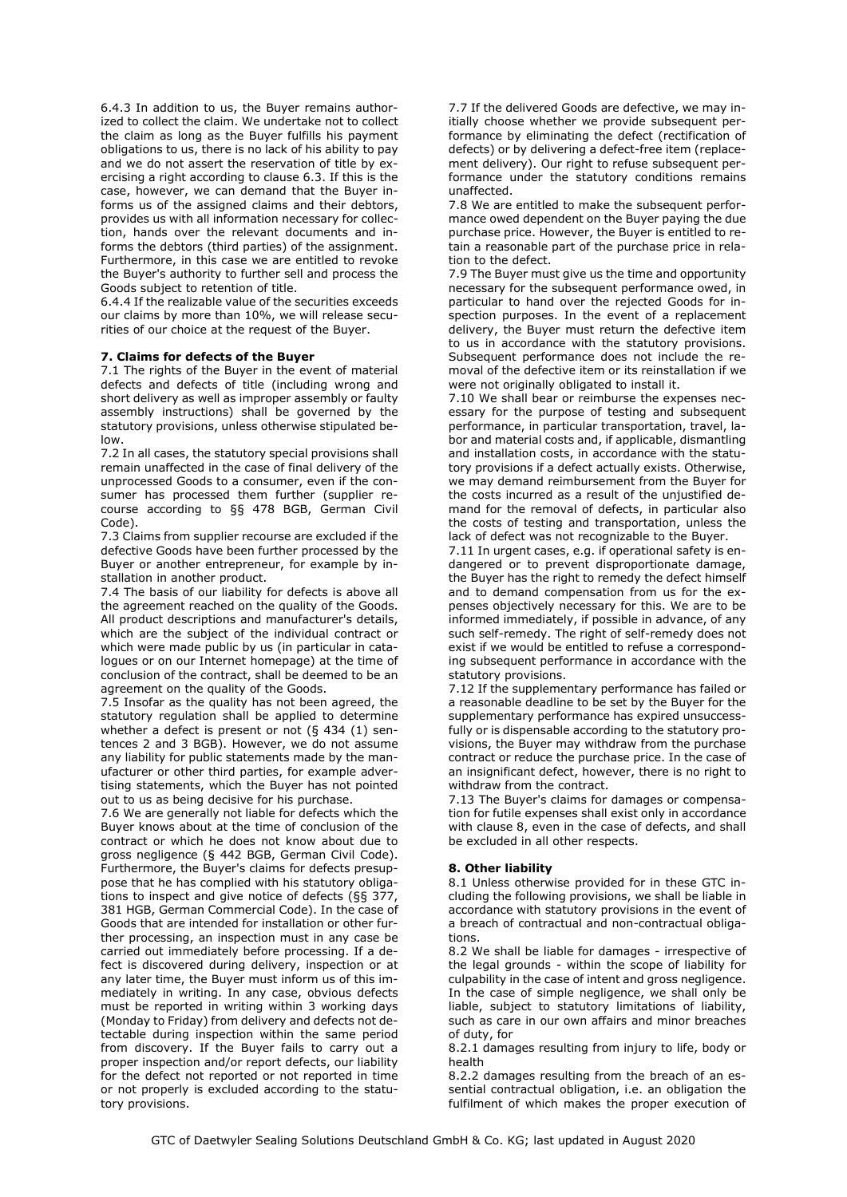6.4.3 In addition to us, the Buyer remains authorized to collect the claim. We undertake not to collect the claim as long as the Buyer fulfills his payment obligations to us, there is no lack of his ability to pay and we do not assert the reservation of title by exercising a right according to clause 6.3. If this is the case, however, we can demand that the Buyer informs us of the assigned claims and their debtors, provides us with all information necessary for collection, hands over the relevant documents and informs the debtors (third parties) of the assignment. Furthermore, in this case we are entitled to revoke the Buyer's authority to further sell and process the Goods subject to retention of title.

6.4.4 If the realizable value of the securities exceeds our claims by more than 10%, we will release securities of our choice at the request of the Buyer.

## **7. Claims for defects of the Buyer**

7.1 The rights of the Buyer in the event of material defects and defects of title (including wrong and short delivery as well as improper assembly or faulty assembly instructions) shall be governed by the statutory provisions, unless otherwise stipulated below.

7.2 In all cases, the statutory special provisions shall remain unaffected in the case of final delivery of the unprocessed Goods to a consumer, even if the consumer has processed them further (supplier recourse according to §§ 478 BGB, German Civil Code).

7.3 Claims from supplier recourse are excluded if the defective Goods have been further processed by the Buyer or another entrepreneur, for example by installation in another product.

7.4 The basis of our liability for defects is above all the agreement reached on the quality of the Goods. All product descriptions and manufacturer's details which are the subject of the individual contract or which were made public by us (in particular in catalogues or on our Internet homepage) at the time of conclusion of the contract, shall be deemed to be an agreement on the quality of the Goods.

7.5 Insofar as the quality has not been agreed, the statutory regulation shall be applied to determine whether a defect is present or not (§ 434 (1) sentences 2 and 3 BGB). However, we do not assume any liability for public statements made by the manufacturer or other third parties, for example advertising statements, which the Buyer has not pointed out to us as being decisive for his purchase.

7.6 We are generally not liable for defects which the Buyer knows about at the time of conclusion of the contract or which he does not know about due to gross negligence (§ 442 BGB, German Civil Code). Furthermore, the Buyer's claims for defects presuppose that he has complied with his statutory obligations to inspect and give notice of defects (§§ 377, 381 HGB, German Commercial Code). In the case of Goods that are intended for installation or other further processing, an inspection must in any case be carried out immediately before processing. If a defect is discovered during delivery, inspection or at any later time, the Buyer must inform us of this immediately in writing. In any case, obvious defects must be reported in writing within 3 working days (Monday to Friday) from delivery and defects not detectable during inspection within the same period from discovery. If the Buyer fails to carry out a proper inspection and/or report defects, our liability for the defect not reported or not reported in time or not properly is excluded according to the statutory provisions.

7.7 If the delivered Goods are defective, we may initially choose whether we provide subsequent performance by eliminating the defect (rectification of defects) or by delivering a defect-free item (replacement delivery). Our right to refuse subsequent performance under the statutory conditions remains unaffected.

7.8 We are entitled to make the subsequent performance owed dependent on the Buyer paying the due purchase price. However, the Buyer is entitled to retain a reasonable part of the purchase price in relation to the defect.

7.9 The Buyer must give us the time and opportunity necessary for the subsequent performance owed, in particular to hand over the rejected Goods for inspection purposes. In the event of a replacement delivery, the Buyer must return the defective item to us in accordance with the statutory provisions. Subsequent performance does not include the removal of the defective item or its reinstallation if we were not originally obligated to install it.

7.10 We shall bear or reimburse the expenses necessary for the purpose of testing and subsequent performance, in particular transportation, travel, labor and material costs and, if applicable, dismantling and installation costs, in accordance with the statutory provisions if a defect actually exists. Otherwise, we may demand reimbursement from the Buyer for the costs incurred as a result of the unjustified demand for the removal of defects, in particular also the costs of testing and transportation, unless the lack of defect was not recognizable to the Buyer.

7.11 In urgent cases, e.g. if operational safety is endangered or to prevent disproportionate damage, the Buyer has the right to remedy the defect himself and to demand compensation from us for the expenses objectively necessary for this. We are to be informed immediately, if possible in advance, of any such self-remedy. The right of self-remedy does not exist if we would be entitled to refuse a corresponding subsequent performance in accordance with the statutory provisions.

7.12 If the supplementary performance has failed or a reasonable deadline to be set by the Buyer for the supplementary performance has expired unsuccessfully or is dispensable according to the statutory provisions, the Buyer may withdraw from the purchase contract or reduce the purchase price. In the case of an insignificant defect, however, there is no right to withdraw from the contract.

7.13 The Buyer's claims for damages or compensation for futile expenses shall exist only in accordance with clause 8, even in the case of defects, and shall be excluded in all other respects.

#### **8. Other liability**

8.1 Unless otherwise provided for in these GTC including the following provisions, we shall be liable in accordance with statutory provisions in the event of a breach of contractual and non-contractual obligations.

8.2 We shall be liable for damages - irrespective of the legal grounds - within the scope of liability for culpability in the case of intent and gross negligence. In the case of simple negligence, we shall only be liable, subject to statutory limitations of liability, such as care in our own affairs and minor breaches of duty, for

8.2.1 damages resulting from injury to life, body or health

8.2.2 damages resulting from the breach of an essential contractual obligation, i.e. an obligation the fulfilment of which makes the proper execution of